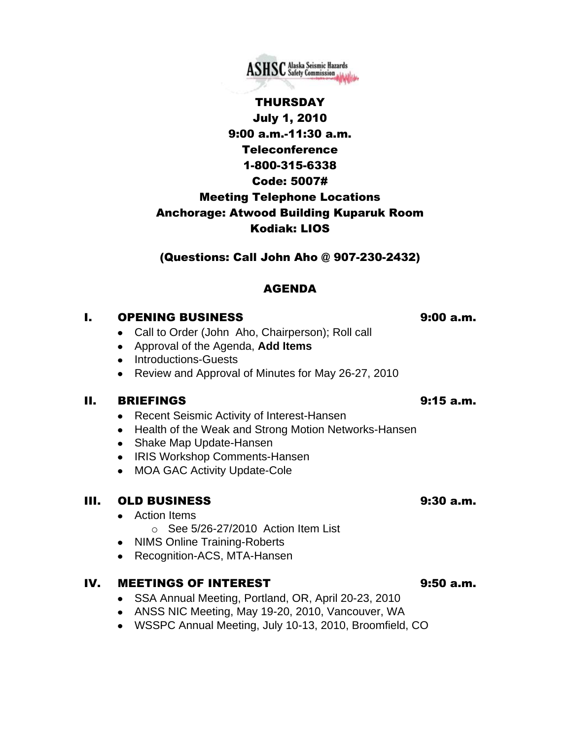

# THURSDAY July 1, 2010 9:00 a.m.-11:30 a.m. **Teleconference** 1-800-315-6338 Code: 5007# Meeting Telephone Locations Anchorage: Atwood Building Kuparuk Room Kodiak: LIOS

(Questions: Call John Aho @ 907-230-2432)

## AGENDA

### I. OPENING BUSINESS 9:00 a.m.

- Call to Order (John Aho, Chairperson); Roll call
- Approval of the Agenda, **Add Items**
- Introductions-Guests
- Review and Approval of Minutes for May 26-27, 2010

### II. BRIEFINGS 9:15 a.m.

- Recent Seismic Activity of Interest-Hansen
- Health of the Weak and Strong Motion Networks-Hansen
- Shake Map Update-Hansen
- IRIS Workshop Comments-Hansen
- MOA GAC Activity Update-Cole

## III. OLD BUSINESS 9:30 a.m.

- **•** Action Items
	- o See 5/26-27/2010 Action Item List
- NIMS Online Training-Roberts
- Recognition-ACS, MTA-Hansen

### IV. MEETINGS OF INTEREST 9:50 a.m.

- SSA Annual Meeting, Portland, OR, April 20-23, 2010
- ANSS NIC Meeting, May 19-20, 2010, Vancouver, WA
- WSSPC Annual Meeting, July 10-13, 2010, Broomfield, CO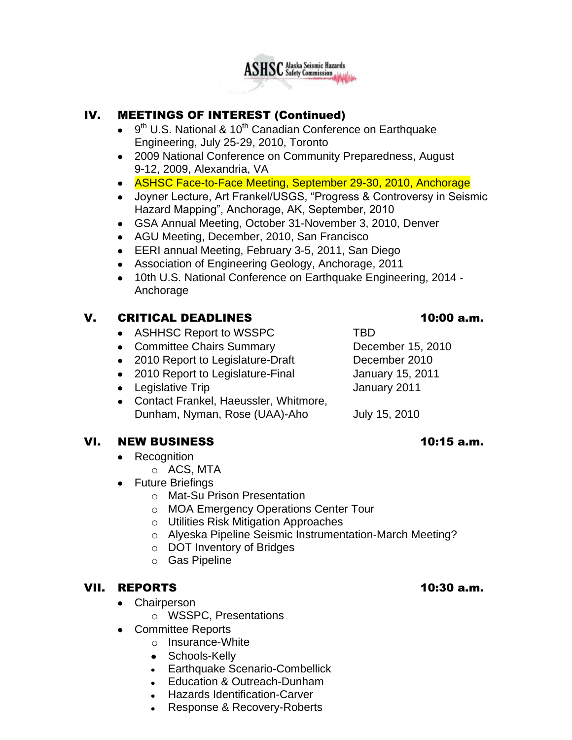

## IV. MEETINGS OF INTEREST (Continued)

- 9<sup>th</sup> U.S. National & 10<sup>th</sup> Canadian Conference on Earthquake Engineering, July 25-29, 2010, Toronto
- 2009 National Conference on Community Preparedness, August 9-12, 2009, Alexandria, VA
- ASHSC Face-to-Face Meeting, September 29-30, 2010, Anchorage
- Joyner Lecture, Art Frankel/USGS, "Progress & Controversy in Seismic Hazard Mapping", Anchorage, AK, September, 2010
- GSA Annual Meeting, October 31-November 3, 2010, Denver
- AGU Meeting, December, 2010, San Francisco
- EERI annual Meeting, February 3-5, 2011, San Diego
- Association of Engineering Geology, Anchorage, 2011
- 10th U.S. National Conference on Earthquake Engineering, 2014 Anchorage

## V. CRITICAL DEADLINES 10:00 a.m.

- ASHHSC Report to WSSPC TBD
- Committee Chairs Summary December 15, 2010
- 2010 Report to Legislature-Draft December 2010
- 2010 Report to Legislature-Final January 15, 2011
- Legislative Trip **January 2011**
- Contact Frankel, Haeussler, Whitmore, Dunham, Nyman, Rose (UAA)-Aho July 15, 2010

### VI. NEW BUSINESS 10:15 a.m.

- **Recognition**  $\bullet$ 
	- o ACS, MTA
- Future Briefings
	- o Mat-Su Prison Presentation
	- o MOA Emergency Operations Center Tour
	- o Utilities Risk Mitigation Approaches
	- o Alyeska Pipeline Seismic Instrumentation-March Meeting?
	- o DOT Inventory of Bridges
	- o Gas Pipeline

## VII. REPORTS 10:30 a.m.

- Chairperson
	- o WSSPC, Presentations
- Committee Reports  $\bullet$ 
	- o Insurance-White
	- Schools-Kelly
	- Earthquake Scenario-Combellick
	- Education & Outreach-Dunham
	- Hazards Identification-Carver
	- Response & Recovery-Roberts